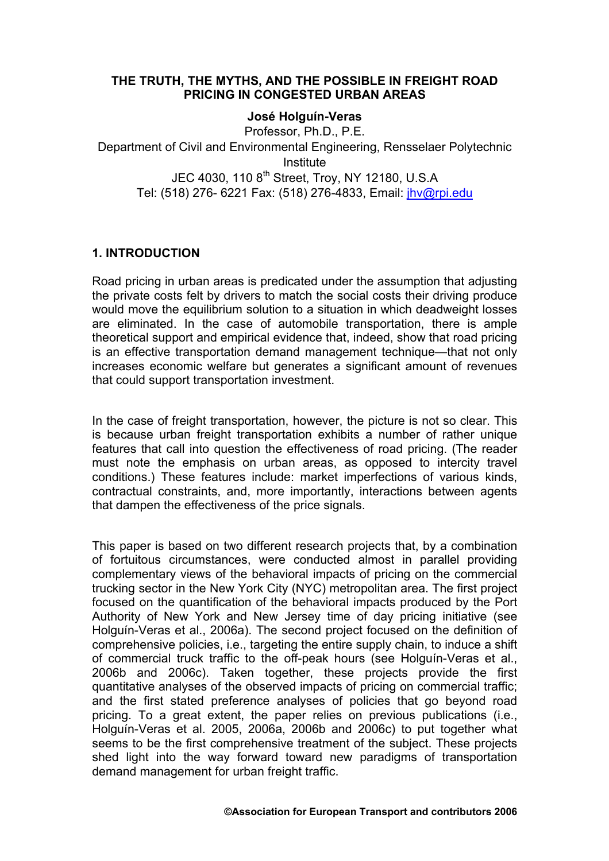#### **THE TRUTH, THE MYTHS, AND THE POSSIBLE IN FREIGHT ROAD PRICING IN CONGESTED URBAN AREAS**

#### **José Holguín-Veras**

Professor, Ph.D., P.E. Department of Civil and Environmental Engineering, Rensselaer Polytechnic Institute JEC 4030. 110 8<sup>th</sup> Street, Troy, NY 12180, U.S.A Tel: (518) 276- 6221 Fax: (518) 276-4833, Email: [jhv@rpi.edu](mailto:jhv@rpi.edu)

# **1. INTRODUCTION**

Road pricing in urban areas is predicated under the assumption that adjusting the private costs felt by drivers to match the social costs their driving produce would move the equilibrium solution to a situation in which deadweight losses are eliminated. In the case of automobile transportation, there is ample theoretical support and empirical evidence that, indeed, show that road pricing is an effective transportation demand management technique—that not only increases economic welfare but generates a significant amount of revenues that could support transportation investment.

In the case of freight transportation, however, the picture is not so clear. This is because urban freight transportation exhibits a number of rather unique features that call into question the effectiveness of road pricing. (The reader must note the emphasis on urban areas, as opposed to intercity travel conditions.) These features include: market imperfections of various kinds, contractual constraints, and, more importantly, interactions between agents that dampen the effectiveness of the price signals.

This paper is based on two different research projects that, by a combination of fortuitous circumstances, were conducted almost in parallel providing complementary views of the behavioral impacts of pricing on the commercial trucking sector in the New York City (NYC) metropolitan area. The first project focused on the quantification of the behavioral impacts produced by the Port Authority of New York and New Jersey time of day pricing initiative (see Holguín-Veras et al., 2006a). The second project focused on the definition of comprehensive policies, i.e., targeting the entire supply chain, to induce a shift of commercial truck traffic to the off-peak hours (see Holguín-Veras et al., 2006b and 2006c). Taken together, these projects provide the first quantitative analyses of the observed impacts of pricing on commercial traffic; and the first stated preference analyses of policies that go beyond road pricing. To a great extent, the paper relies on previous publications (i.e., Holguín-Veras et al. 2005, 2006a, 2006b and 2006c) to put together what seems to be the first comprehensive treatment of the subject. These projects shed light into the way forward toward new paradigms of transportation demand management for urban freight traffic.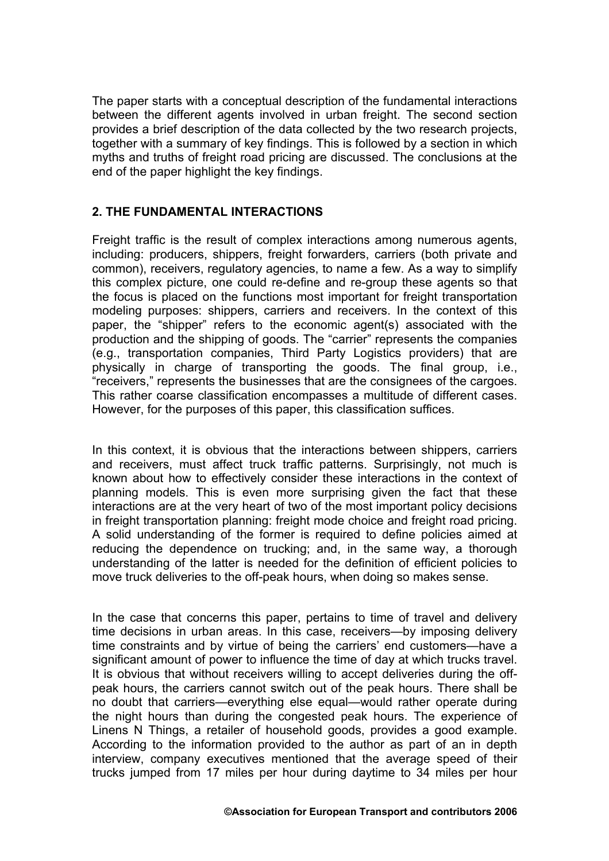The paper starts with a conceptual description of the fundamental interactions between the different agents involved in urban freight. The second section provides a brief description of the data collected by the two research projects, together with a summary of key findings. This is followed by a section in which myths and truths of freight road pricing are discussed. The conclusions at the end of the paper highlight the key findings.

# **2. THE FUNDAMENTAL INTERACTIONS**

Freight traffic is the result of complex interactions among numerous agents, including: producers, shippers, freight forwarders, carriers (both private and common), receivers, regulatory agencies, to name a few. As a way to simplify this complex picture, one could re-define and re-group these agents so that the focus is placed on the functions most important for freight transportation modeling purposes: shippers, carriers and receivers. In the context of this paper, the "shipper" refers to the economic agent(s) associated with the production and the shipping of goods. The "carrier" represents the companies (e.g., transportation companies, Third Party Logistics providers) that are physically in charge of transporting the goods. The final group, i.e., "receivers," represents the businesses that are the consignees of the cargoes. This rather coarse classification encompasses a multitude of different cases. However, for the purposes of this paper, this classification suffices.

In this context, it is obvious that the interactions between shippers, carriers and receivers, must affect truck traffic patterns. Surprisingly, not much is known about how to effectively consider these interactions in the context of planning models. This is even more surprising given the fact that these interactions are at the very heart of two of the most important policy decisions in freight transportation planning: freight mode choice and freight road pricing. A solid understanding of the former is required to define policies aimed at reducing the dependence on trucking; and, in the same way, a thorough understanding of the latter is needed for the definition of efficient policies to move truck deliveries to the off-peak hours, when doing so makes sense.

In the case that concerns this paper, pertains to time of travel and delivery time decisions in urban areas. In this case, receivers—by imposing delivery time constraints and by virtue of being the carriers' end customers—have a significant amount of power to influence the time of day at which trucks travel. It is obvious that without receivers willing to accept deliveries during the offpeak hours, the carriers cannot switch out of the peak hours. There shall be no doubt that carriers—everything else equal—would rather operate during the night hours than during the congested peak hours. The experience of Linens N Things, a retailer of household goods, provides a good example. According to the information provided to the author as part of an in depth interview, company executives mentioned that the average speed of their trucks jumped from 17 miles per hour during daytime to 34 miles per hour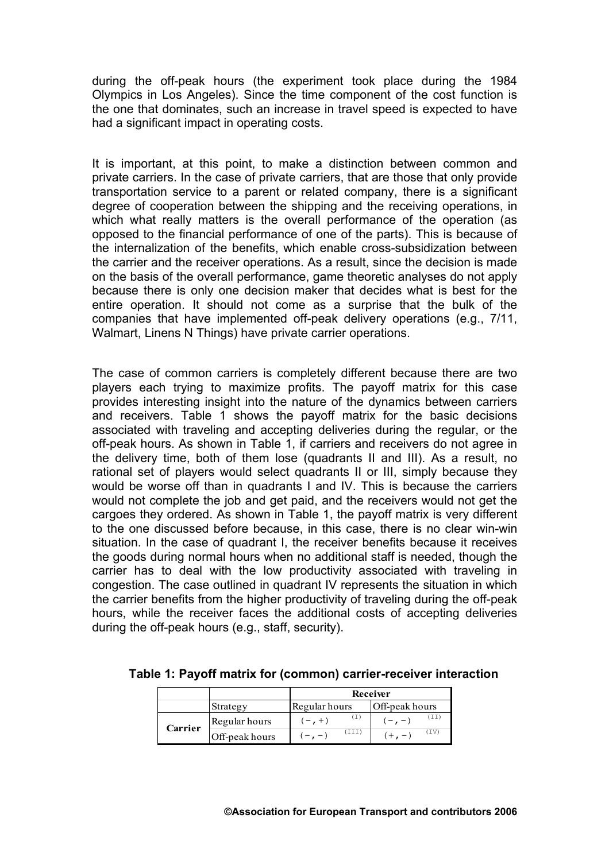during the off-peak hours (the experiment took place during the 1984 Olympics in Los Angeles). Since the time component of the cost function is the one that dominates, such an increase in travel speed is expected to have had a significant impact in operating costs.

It is important, at this point, to make a distinction between common and private carriers. In the case of private carriers, that are those that only provide transportation service to a parent or related company, there is a significant degree of cooperation between the shipping and the receiving operations, in which what really matters is the overall performance of the operation (as opposed to the financial performance of one of the parts). This is because of the internalization of the benefits, which enable cross-subsidization between the carrier and the receiver operations. As a result, since the decision is made on the basis of the overall performance, game theoretic analyses do not apply because there is only one decision maker that decides what is best for the entire operation. It should not come as a surprise that the bulk of the companies that have implemented off-peak delivery operations (e.g., 7/11, Walmart, Linens N Things) have private carrier operations.

The case of common carriers is completely different because there are two players each trying to maximize profits. The payoff matrix for this case provides interesting insight into the nature of the dynamics between carriers and receivers. [Table 1](#page-2-0) shows the payoff matrix for the basic decisions associated with traveling and accepting deliveries during the regular, or the off-peak hours. As shown in [Table 1,](#page-2-0) if carriers and receivers do not agree in the delivery time, both of them lose (quadrants II and III). As a result, no rational set of players would select quadrants II or III, simply because they would be worse off than in quadrants I and IV. This is because the carriers would not complete the job and get paid, and the receivers would not get the cargoes they ordered. As shown in [Table 1,](#page-2-0) the payoff matrix is very different to the one discussed before because, in this case, there is no clear win-win situation. In the case of quadrant I, the receiver benefits because it receives the goods during normal hours when no additional staff is needed, though the carrier has to deal with the low productivity associated with traveling in congestion. The case outlined in quadrant IV represents the situation in which the carrier benefits from the higher productivity of traveling during the off-peak hours, while the receiver faces the additional costs of accepting deliveries during the off-peak hours (e.g., staff, security).

|         |                | Receiver      |                            |  |
|---------|----------------|---------------|----------------------------|--|
|         | Strategy       | Regular hours | Off-peak hours             |  |
| Carrier | Regular hours  | $(-, +)$      | $1-\epsilon$ , $-\epsilon$ |  |
|         | Off-peak hours | (III)         | (TV)<br>$(+ -$             |  |

<span id="page-2-0"></span>**Table 1: Payoff matrix for (common) carrier-receiver interaction**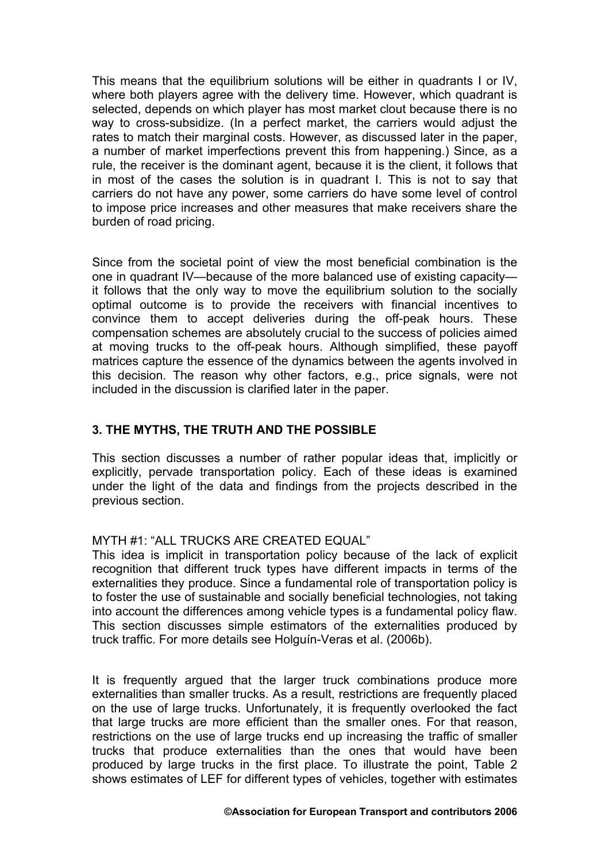This means that the equilibrium solutions will be either in quadrants I or IV, where both players agree with the delivery time. However, which quadrant is selected, depends on which player has most market clout because there is no way to cross-subsidize. (In a perfect market, the carriers would adjust the rates to match their marginal costs. However, as discussed later in the paper, a number of market imperfections prevent this from happening.) Since, as a rule, the receiver is the dominant agent, because it is the client, it follows that in most of the cases the solution is in quadrant I. This is not to say that carriers do not have any power, some carriers do have some level of control to impose price increases and other measures that make receivers share the burden of road pricing.

Since from the societal point of view the most beneficial combination is the one in quadrant IV—because of the more balanced use of existing capacity it follows that the only way to move the equilibrium solution to the socially optimal outcome is to provide the receivers with financial incentives to convince them to accept deliveries during the off-peak hours. These compensation schemes are absolutely crucial to the success of policies aimed at moving trucks to the off-peak hours. Although simplified, these payoff matrices capture the essence of the dynamics between the agents involved in this decision. The reason why other factors, e.g., price signals, were not included in the discussion is clarified later in the paper.

# **3. THE MYTHS, THE TRUTH AND THE POSSIBLE**

This section discusses a number of rather popular ideas that, implicitly or explicitly, pervade transportation policy. Each of these ideas is examined under the light of the data and findings from the projects described in the previous section.

### MYTH #1: "ALL TRUCKS ARE CREATED EQUAL"

This idea is implicit in transportation policy because of the lack of explicit recognition that different truck types have different impacts in terms of the externalities they produce. Since a fundamental role of transportation policy is to foster the use of sustainable and socially beneficial technologies, not taking into account the differences among vehicle types is a fundamental policy flaw. This section discusses simple estimators of the externalities produced by truck traffic. For more details see Holguín-Veras et al. (2006b).

It is frequently argued that the larger truck combinations produce more externalities than smaller trucks. As a result, restrictions are frequently placed on the use of large trucks. Unfortunately, it is frequently overlooked the fact that large trucks are more efficient than the smaller ones. For that reason, restrictions on the use of large trucks end up increasing the traffic of smaller trucks that produce externalities than the ones that would have been produced by large trucks in the first place. To illustrate the point, [Table 2](#page-4-0)  shows estimates of LEF for different types of vehicles, together with estimates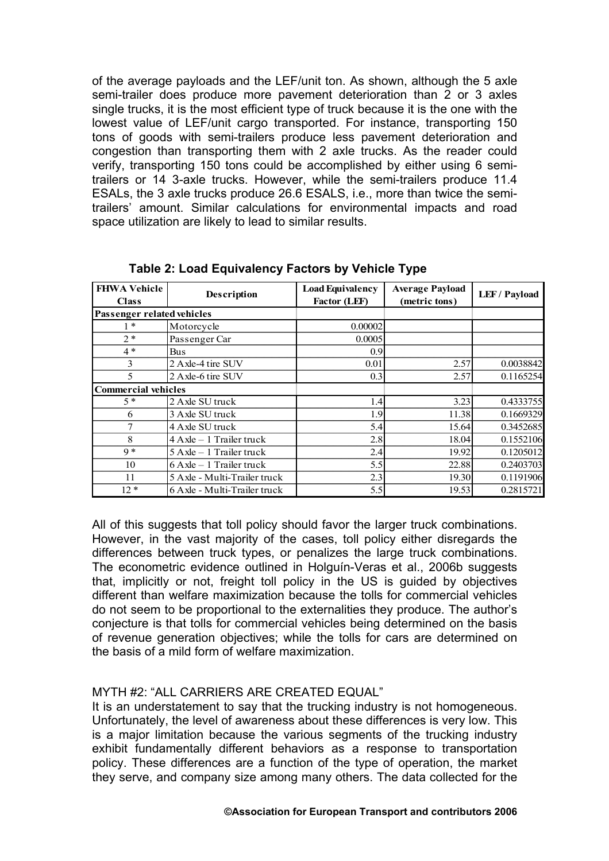of the average payloads and the LEF/unit ton. As shown, although the 5 axle semi-trailer does produce more pavement deterioration than 2 or 3 axles single trucks, it is the most efficient type of truck because it is the one with the lowest value of LEF/unit cargo transported. For instance, transporting 150 tons of goods with semi-trailers produce less pavement deterioration and congestion than transporting them with 2 axle trucks. As the reader could verify, transporting 150 tons could be accomplished by either using 6 semitrailers or 14 3-axle trucks. However, while the semi-trailers produce 11.4 ESALs, the 3 axle trucks produce 26.6 ESALS, i.e., more than twice the semitrailers' amount. Similar calculations for environmental impacts and road space utilization are likely to lead to similar results.

| <b>FHWA Vehicle</b><br><b>Class</b> | Description                  | <b>Load Equivalency</b><br>Factor (LEF) | <b>Average Payload</b><br>(metric tons) | LEF / Payload |
|-------------------------------------|------------------------------|-----------------------------------------|-----------------------------------------|---------------|
| Passenger related vehicles          |                              |                                         |                                         |               |
| $1*$                                | Motorcycle                   | 0.00002                                 |                                         |               |
| $2*$                                | Passenger Car                | 0.0005                                  |                                         |               |
| $4*$                                | Bus                          | 0.9                                     |                                         |               |
| 3                                   | 2 Axle-4 tire SUV            | 0.01                                    | 2.57                                    | 0.0038842     |
| 5                                   | 2 Axle-6 tire SUV            | 0.3                                     | 2.57                                    | 0.1165254     |
| <b>Commercial vehicles</b>          |                              |                                         |                                         |               |
| $5 *$                               | 2 Axle SU truck              | 1.4                                     | 3.23                                    | 0.4333755     |
| 6                                   | 3 Axle SU truck              | 1.9                                     | 11.38                                   | 0.1669329     |
| 7                                   | 4 Axle SU truck              | 5.4                                     | 15.64                                   | 0.3452685     |
| 8                                   | $4$ Axle $-1$ Trailer truck  | 2.8                                     | 18.04                                   | 0.1552106     |
| $9 *$                               | 5 Axle - 1 Trailer truck     | 2.4                                     | 19.92                                   | 0.1205012     |
| 10                                  | $6$ Axle – 1 Trailer truck   | 5.5                                     | 22.88                                   | 0.2403703     |
| 11                                  | 5 Axle - Multi-Trailer truck | 2.3                                     | 19.30                                   | 0.1191906     |
| $12*$                               | 6 Axle - Multi-Trailer truck | 5.5                                     | 19.53                                   | 0.2815721     |

<span id="page-4-0"></span>**Table 2: Load Equivalency Factors by Vehicle Type** 

All of this suggests that toll policy should favor the larger truck combinations. However, in the vast majority of the cases, toll policy either disregards the differences between truck types, or penalizes the large truck combinations. The econometric evidence outlined in Holguín-Veras et al., 2006b suggests that, implicitly or not, freight toll policy in the US is guided by objectives different than welfare maximization because the tolls for commercial vehicles do not seem to be proportional to the externalities they produce. The author's conjecture is that tolls for commercial vehicles being determined on the basis of revenue generation objectives; while the tolls for cars are determined on the basis of a mild form of welfare maximization.

### MYTH #2: "ALL CARRIERS ARE CREATED EQUAL"

It is an understatement to say that the trucking industry is not homogeneous. Unfortunately, the level of awareness about these differences is very low. This is a major limitation because the various segments of the trucking industry exhibit fundamentally different behaviors as a response to transportation policy. These differences are a function of the type of operation, the market they serve, and company size among many others. The data collected for the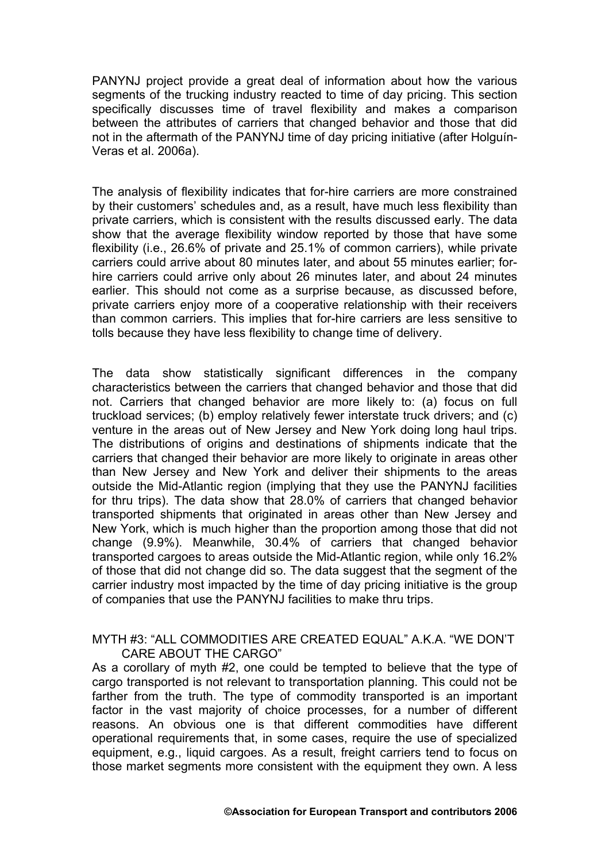PANYNJ project provide a great deal of information about how the various segments of the trucking industry reacted to time of day pricing. This section specifically discusses time of travel flexibility and makes a comparison between the attributes of carriers that changed behavior and those that did not in the aftermath of the PANYNJ time of day pricing initiative (after Holguín-Veras et al. 2006a).

The analysis of flexibility indicates that for-hire carriers are more constrained by their customers' schedules and, as a result, have much less flexibility than private carriers, which is consistent with the results discussed early. The data show that the average flexibility window reported by those that have some flexibility (i.e., 26.6% of private and 25.1% of common carriers), while private carriers could arrive about 80 minutes later, and about 55 minutes earlier; forhire carriers could arrive only about 26 minutes later, and about 24 minutes earlier. This should not come as a surprise because, as discussed before, private carriers enjoy more of a cooperative relationship with their receivers than common carriers. This implies that for-hire carriers are less sensitive to tolls because they have less flexibility to change time of delivery.

The data show statistically significant differences in the company characteristics between the carriers that changed behavior and those that did not. Carriers that changed behavior are more likely to: (a) focus on full truckload services; (b) employ relatively fewer interstate truck drivers; and (c) venture in the areas out of New Jersey and New York doing long haul trips. The distributions of origins and destinations of shipments indicate that the carriers that changed their behavior are more likely to originate in areas other than New Jersey and New York and deliver their shipments to the areas outside the Mid-Atlantic region (implying that they use the PANYNJ facilities for thru trips). The data show that 28.0% of carriers that changed behavior transported shipments that originated in areas other than New Jersey and New York, which is much higher than the proportion among those that did not change (9.9%). Meanwhile, 30.4% of carriers that changed behavior transported cargoes to areas outside the Mid-Atlantic region, while only 16.2% of those that did not change did so. The data suggest that the segment of the carrier industry most impacted by the time of day pricing initiative is the group of companies that use the PANYNJ facilities to make thru trips.

#### MYTH #3: "ALL COMMODITIES ARE CREATED EQUAL" A.K.A. "WE DON'T CARE ABOUT THE CARGO"

As a corollary of myth #2, one could be tempted to believe that the type of cargo transported is not relevant to transportation planning. This could not be farther from the truth. The type of commodity transported is an important factor in the vast majority of choice processes, for a number of different reasons. An obvious one is that different commodities have different operational requirements that, in some cases, require the use of specialized equipment, e.g., liquid cargoes. As a result, freight carriers tend to focus on those market segments more consistent with the equipment they own. A less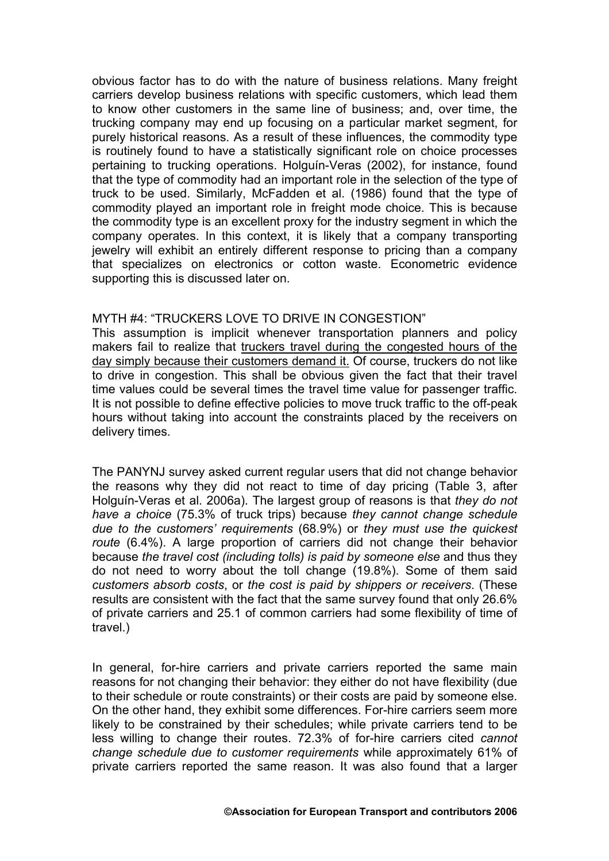obvious factor has to do with the nature of business relations. Many freight carriers develop business relations with specific customers, which lead them to know other customers in the same line of business; and, over time, the trucking company may end up focusing on a particular market segment, for purely historical reasons. As a result of these influences, the commodity type is routinely found to have a statistically significant role on choice processes pertaining to trucking operations. Holguín-Veras (2002), for instance, found that the type of commodity had an important role in the selection of the type of truck to be used. Similarly, McFadden et al. (1986) found that the type of commodity played an important role in freight mode choice. This is because the commodity type is an excellent proxy for the industry segment in which the company operates. In this context, it is likely that a company transporting jewelry will exhibit an entirely different response to pricing than a company that specializes on electronics or cotton waste. Econometric evidence supporting this is discussed later on.

### MYTH #4: "TRUCKERS LOVE TO DRIVE IN CONGESTION"

This assumption is implicit whenever transportation planners and policy makers fail to realize that truckers travel during the congested hours of the day simply because their customers demand it. Of course, truckers do not like to drive in congestion. This shall be obvious given the fact that their travel time values could be several times the travel time value for passenger traffic. It is not possible to define effective policies to move truck traffic to the off-peak hours without taking into account the constraints placed by the receivers on delivery times.

The PANYNJ survey asked current regular users that did not change behavior the reasons why they did not react to time of day pricing ([Table 3,](#page-7-0) after Holguín-Veras et al. 2006a). The largest group of reasons is that *they do not have a choice* (75.3% of truck trips) because *they cannot change schedule due to the customers' requirements* (68.9%) or *they must use the quickest route* (6.4%). A large proportion of carriers did not change their behavior because *the travel cost (including tolls) is paid by someone else* and thus they do not need to worry about the toll change (19.8%). Some of them said *customers absorb costs*, or *the cost is paid by shippers or receivers*. (These results are consistent with the fact that the same survey found that only 26.6% of private carriers and 25.1 of common carriers had some flexibility of time of travel.)

In general, for-hire carriers and private carriers reported the same main reasons for not changing their behavior: they either do not have flexibility (due to their schedule or route constraints) or their costs are paid by someone else. On the other hand, they exhibit some differences. For-hire carriers seem more likely to be constrained by their schedules; while private carriers tend to be less willing to change their routes. 72.3% of for-hire carriers cited *cannot change schedule due to customer requirements* while approximately 61% of private carriers reported the same reason. It was also found that a larger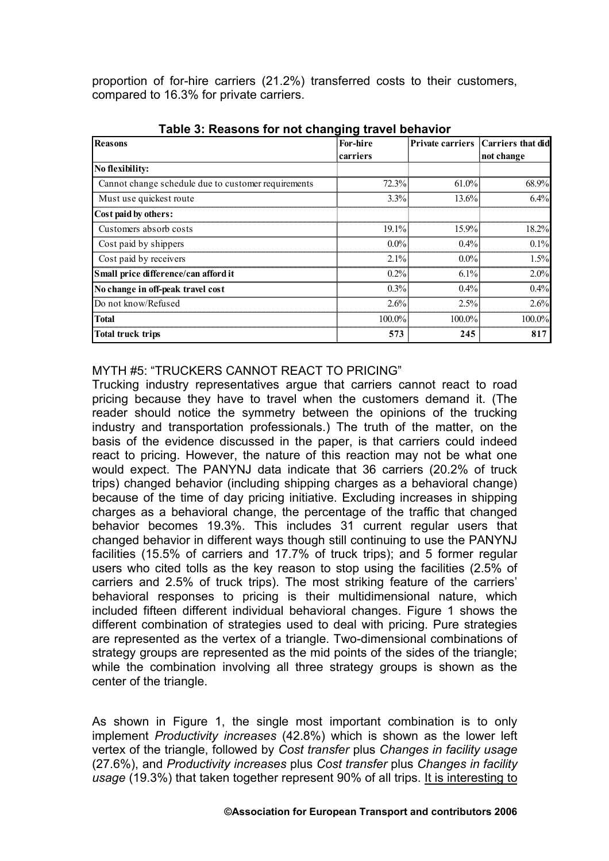proportion of for-hire carriers (21.2%) transferred costs to their customers, compared to 16.3% for private carriers.

| <b>Reasons</b>                                      | For-hire |           | Private carriers Carriers that did |
|-----------------------------------------------------|----------|-----------|------------------------------------|
|                                                     | carriers |           | not change                         |
| No flexibility:                                     |          |           |                                    |
| Cannot change schedule due to customer requirements | 72.3%    | $61.0\%$  | 68.9%                              |
| Must use quickest route                             | 3.3%     | 13.6%     | 6.4%                               |
| Cost paid by others:                                |          |           |                                    |
| Customers absorb costs                              | 19.1%    | 15.9%     | 18.2%                              |
| Cost paid by shippers                               | $0.0\%$  | $0.4\%$   | 0.1%                               |
| Cost paid by receivers                              | 2.1%     | $0.0\%$   | 1.5%                               |
| Small price difference/can afford it                | 0.2%     | $6.1\%$   | 2.0%                               |
| No change in off-peak travel cost                   | 0.3%     | 0.4%      | 0.4%                               |
| Do not know/Refused                                 | 2.6%     | 2.5%      | 2.6%                               |
| <b>Total</b>                                        | 100.0%   | $100.0\%$ | 100.0%                             |
| Total truck trips                                   | 573      | 245       | 817                                |

<span id="page-7-0"></span>**Table 3: Reasons for not changing travel behavior** 

#### MYTH #5: "TRUCKERS CANNOT REACT TO PRICING"

Trucking industry representatives argue that carriers cannot react to road pricing because they have to travel when the customers demand it. (The reader should notice the symmetry between the opinions of the trucking industry and transportation professionals.) The truth of the matter, on the basis of the evidence discussed in the paper, is that carriers could indeed react to pricing. However, the nature of this reaction may not be what one would expect. The PANYNJ data indicate that 36 carriers (20.2% of truck trips) changed behavior (including shipping charges as a behavioral change) because of the time of day pricing initiative. Excluding increases in shipping charges as a behavioral change, the percentage of the traffic that changed behavior becomes 19.3%. This includes 31 current regular users that changed behavior in different ways though still continuing to use the PANYNJ facilities (15.5% of carriers and 17.7% of truck trips); and 5 former regular users who cited tolls as the key reason to stop using the facilities (2.5% of carriers and 2.5% of truck trips). The most striking feature of the carriers' behavioral responses to pricing is their multidimensional nature, which included fifteen different individual behavioral changes. [Figure 1](#page-8-0) shows the different combination of strategies used to deal with pricing. Pure strategies are represented as the vertex of a triangle. Two-dimensional combinations of strategy groups are represented as the mid points of the sides of the triangle; while the combination involving all three strategy groups is shown as the center of the triangle.

As shown in [Figure 1,](#page-8-0) the single most important combination is to only implement *Productivity increases* (42.8%) which is shown as the lower left vertex of the triangle, followed by *Cost transfer* plus *Changes in facility usage*  (27.6%), and *Productivity increases* plus *Cost transfer* plus *Changes in facility usage* (19.3%) that taken together represent 90% of all trips. It is interesting to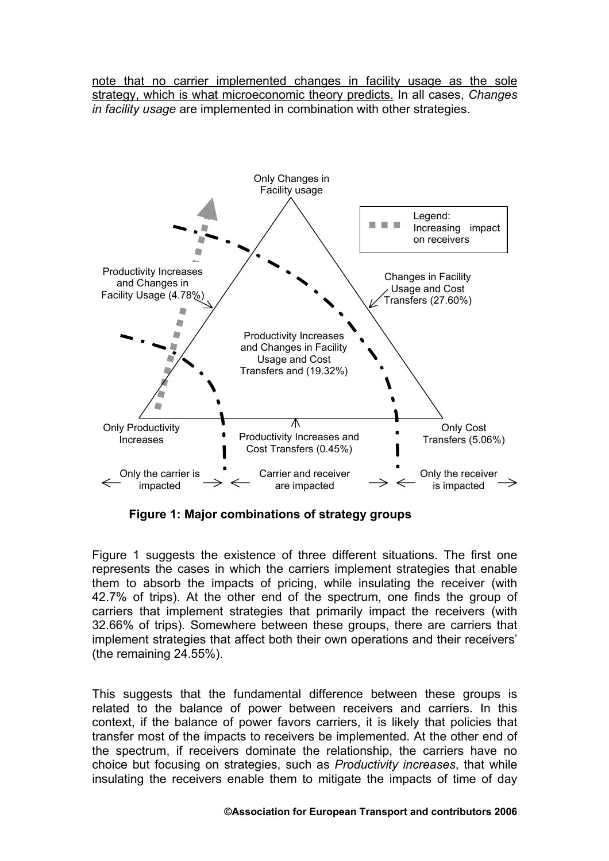note that no carrier implemented changes in facility usage as the sole strategy, which is what microeconomic theory predicts. In all cases, *Changes in facility usage* are implemented in combination with other strategies.



<span id="page-8-0"></span>**Figure 1: Major combinations of strategy groups** 

[Figure 1](#page-8-0) suggests the existence of three different situations. The first one represents the cases in which the carriers implement strategies that enable them to absorb the impacts of pricing, while insulating the receiver (with 42.7% of trips). At the other end of the spectrum, one finds the group of carriers that implement strategies that primarily impact the receivers (with 32.66% of trips). Somewhere between these groups, there are carriers that implement strategies that affect both their own operations and their receivers' (the remaining 24.55%).

This suggests that the fundamental difference between these groups is related to the balance of power between receivers and carriers. In this context, if the balance of power favors carriers, it is likely that policies that transfer most of the impacts to receivers be implemented. At the other end of the spectrum, if receivers dominate the relationship, the carriers have no choice but focusing on strategies, such as *Productivity increases*, that while insulating the receivers enable them to mitigate the impacts of time of day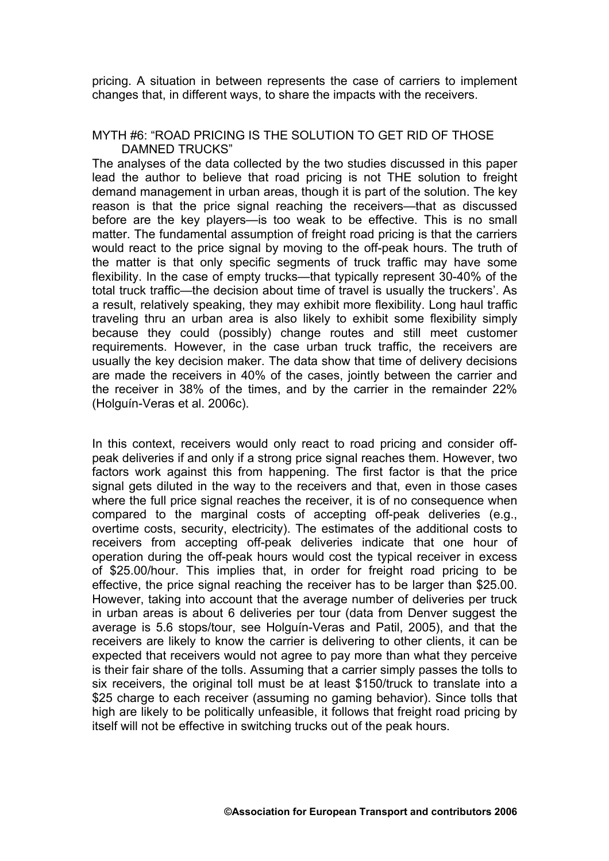pricing. A situation in between represents the case of carriers to implement changes that, in different ways, to share the impacts with the receivers.

#### MYTH #6: "ROAD PRICING IS THE SOLUTION TO GET RID OF THOSE DAMNED TRUCKS"

The analyses of the data collected by the two studies discussed in this paper lead the author to believe that road pricing is not THE solution to freight demand management in urban areas, though it is part of the solution. The key reason is that the price signal reaching the receivers—that as discussed before are the key players—is too weak to be effective. This is no small matter. The fundamental assumption of freight road pricing is that the carriers would react to the price signal by moving to the off-peak hours. The truth of the matter is that only specific segments of truck traffic may have some flexibility. In the case of empty trucks—that typically represent 30-40% of the total truck traffic—the decision about time of travel is usually the truckers'. As a result, relatively speaking, they may exhibit more flexibility. Long haul traffic traveling thru an urban area is also likely to exhibit some flexibility simply because they could (possibly) change routes and still meet customer requirements. However, in the case urban truck traffic, the receivers are usually the key decision maker. The data show that time of delivery decisions are made the receivers in 40% of the cases, jointly between the carrier and the receiver in 38% of the times, and by the carrier in the remainder 22% (Holguín-Veras et al. 2006c).

In this context, receivers would only react to road pricing and consider offpeak deliveries if and only if a strong price signal reaches them. However, two factors work against this from happening. The first factor is that the price signal gets diluted in the way to the receivers and that, even in those cases where the full price signal reaches the receiver, it is of no consequence when compared to the marginal costs of accepting off-peak deliveries (e.g., overtime costs, security, electricity). The estimates of the additional costs to receivers from accepting off-peak deliveries indicate that one hour of operation during the off-peak hours would cost the typical receiver in excess of \$25.00/hour. This implies that, in order for freight road pricing to be effective, the price signal reaching the receiver has to be larger than \$25.00. However, taking into account that the average number of deliveries per truck in urban areas is about 6 deliveries per tour (data from Denver suggest the average is 5.6 stops/tour, see Holguín-Veras and Patil, 2005), and that the receivers are likely to know the carrier is delivering to other clients, it can be expected that receivers would not agree to pay more than what they perceive is their fair share of the tolls. Assuming that a carrier simply passes the tolls to six receivers, the original toll must be at least \$150/truck to translate into a \$25 charge to each receiver (assuming no gaming behavior). Since tolls that high are likely to be politically unfeasible, it follows that freight road pricing by itself will not be effective in switching trucks out of the peak hours.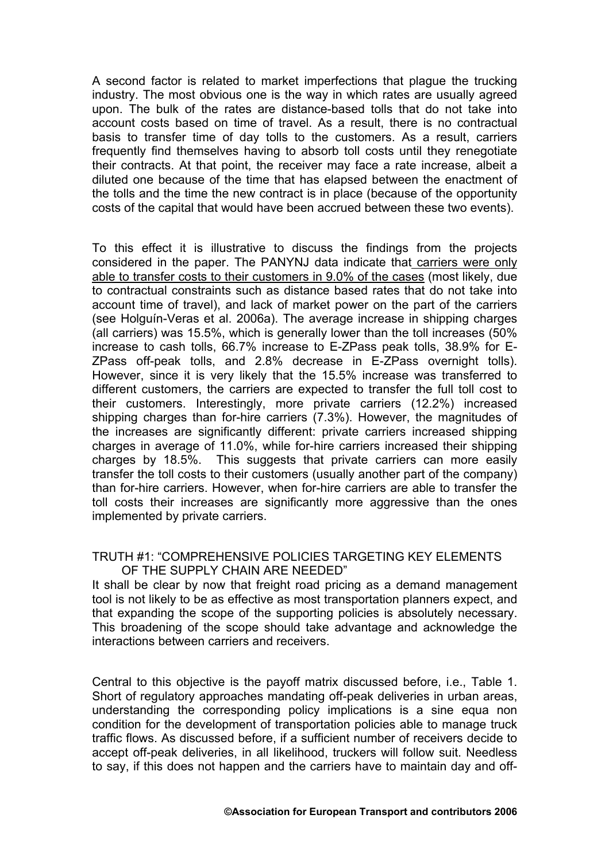A second factor is related to market imperfections that plague the trucking industry. The most obvious one is the way in which rates are usually agreed upon. The bulk of the rates are distance-based tolls that do not take into account costs based on time of travel. As a result, there is no contractual basis to transfer time of day tolls to the customers. As a result, carriers frequently find themselves having to absorb toll costs until they renegotiate their contracts. At that point, the receiver may face a rate increase, albeit a diluted one because of the time that has elapsed between the enactment of the tolls and the time the new contract is in place (because of the opportunity costs of the capital that would have been accrued between these two events).

To this effect it is illustrative to discuss the findings from the projects considered in the paper. The PANYNJ data indicate that carriers were only able to transfer costs to their customers in 9.0% of the cases (most likely, due to contractual constraints such as distance based rates that do not take into account time of travel), and lack of market power on the part of the carriers (see Holguín-Veras et al. 2006a). The average increase in shipping charges (all carriers) was 15.5%, which is generally lower than the toll increases (50% increase to cash tolls, 66.7% increase to E-ZPass peak tolls, 38.9% for E-ZPass off-peak tolls, and 2.8% decrease in E-ZPass overnight tolls). However, since it is very likely that the 15.5% increase was transferred to different customers, the carriers are expected to transfer the full toll cost to their customers. Interestingly, more private carriers (12.2%) increased shipping charges than for-hire carriers (7.3%). However, the magnitudes of the increases are significantly different: private carriers increased shipping charges in average of 11.0%, while for-hire carriers increased their shipping charges by 18.5%. This suggests that private carriers can more easily transfer the toll costs to their customers (usually another part of the company) than for-hire carriers. However, when for-hire carriers are able to transfer the toll costs their increases are significantly more aggressive than the ones implemented by private carriers.

### TRUTH #1: "COMPREHENSIVE POLICIES TARGETING KEY ELEMENTS OF THE SUPPLY CHAIN ARE NEEDED"

It shall be clear by now that freight road pricing as a demand management tool is not likely to be as effective as most transportation planners expect, and that expanding the scope of the supporting policies is absolutely necessary. This broadening of the scope should take advantage and acknowledge the interactions between carriers and receivers.

Central to this objective is the payoff matrix discussed before, i.e., [Table 1.](#page-2-0) Short of regulatory approaches mandating off-peak deliveries in urban areas, understanding the corresponding policy implications is a sine equa non condition for the development of transportation policies able to manage truck traffic flows. As discussed before, if a sufficient number of receivers decide to accept off-peak deliveries, in all likelihood, truckers will follow suit. Needless to say, if this does not happen and the carriers have to maintain day and off-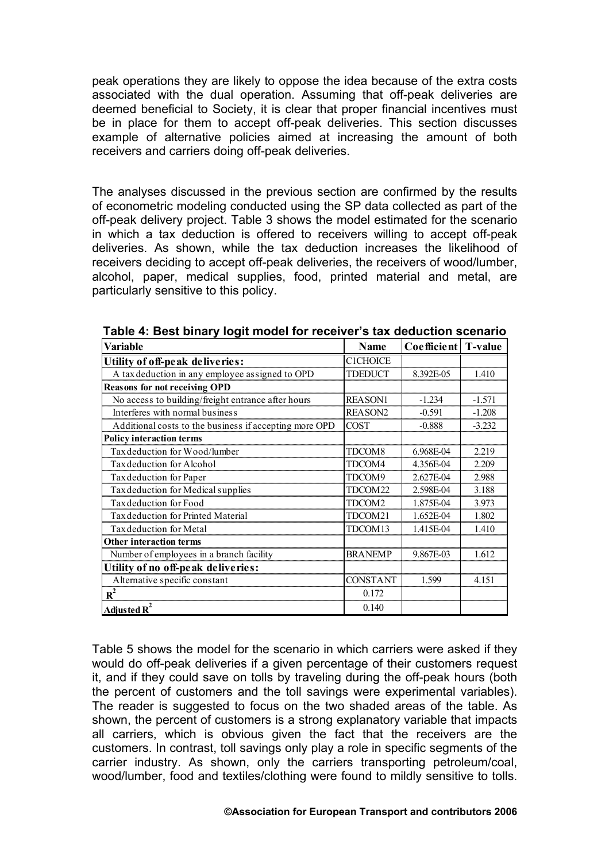peak operations they are likely to oppose the idea because of the extra costs associated with the dual operation. Assuming that off-peak deliveries are deemed beneficial to Society, it is clear that proper financial incentives must be in place for them to accept off-peak deliveries. This section discusses example of alternative policies aimed at increasing the amount of both receivers and carriers doing off-peak deliveries.

The analyses discussed in the previous section are confirmed by the results of econometric modeling conducted using the SP data collected as part of the off-peak delivery project. [Table 3](#page-7-0) shows the model estimated for the scenario in which a tax deduction is offered to receivers willing to accept off-peak deliveries. As shown, while the tax deduction increases the likelihood of receivers deciding to accept off-peak deliveries, the receivers of wood/lumber, alcohol, paper, medical supplies, food, printed material and metal, are particularly sensitive to this policy.

| Variable                                               | Name               | Coefficient | <b>T-value</b> |
|--------------------------------------------------------|--------------------|-------------|----------------|
| Utility of off-peak deliveries:                        | <b>C1CHOICE</b>    |             |                |
| A tax deduction in any employee assigned to OPD        | <b>TDEDUCT</b>     | 8.392E-05   | 1.410          |
| <b>Reasons for not receiving OPD</b>                   |                    |             |                |
| No access to building/freight entrance after hours     | <b>REASON1</b>     | $-1.234$    | $-1.571$       |
| Interferes with normal business                        | <b>REASON2</b>     | $-0.591$    | $-1.208$       |
| Additional costs to the business if accepting more OPD | <b>COST</b>        | $-0.888$    | $-3.232$       |
| <b>Policy interaction terms</b>                        |                    |             |                |
| Tax deduction for Wood/lumber                          | TDCOM <sub>8</sub> | 6.968E-04   | 2.219          |
| Tax deduction for Alcohol                              | TDCOM4             | 4.356E-04   | 2.209          |
| Tax deduction for Paper                                | TDCOM9             | 2.627E-04   | 2.988          |
| Tax deduction for Medical supplies                     | TDCOM22            | 2.598E-04   | 3.188          |
| Tax deduction for Food                                 | TDCOM2             | 1.875E-04   | 3.973          |
| Tax deduction for Printed Material                     | TDCOM21            | 1.652E-04   | 1.802          |
| Tax deduction for Metal                                | TDCOM13            | 1.415E-04   | 1.410          |
| <b>Other interaction terms</b>                         |                    |             |                |
| Number of employees in a branch facility               | <b>BRANEMP</b>     | 9.867E-03   | 1.612          |
| Utility of no off-peak deliveries:                     |                    |             |                |
| Alternative specific constant                          | <b>CONSTANT</b>    | 1.599       | 4.151          |
| $R^2$                                                  | 0.172              |             |                |
| Adjusted $R^2$                                         | 0.140              |             |                |

**Table 4: Best binary logit model for receiver's tax deduction scenario** 

[Table 5](#page-12-0) shows the model for the scenario in which carriers were asked if they would do off-peak deliveries if a given percentage of their customers request it, and if they could save on tolls by traveling during the off-peak hours (both the percent of customers and the toll savings were experimental variables). The reader is suggested to focus on the two shaded areas of the table. As shown, the percent of customers is a strong explanatory variable that impacts all carriers, which is obvious given the fact that the receivers are the customers. In contrast, toll savings only play a role in specific segments of the carrier industry. As shown, only the carriers transporting petroleum/coal, wood/lumber, food and textiles/clothing were found to mildly sensitive to tolls.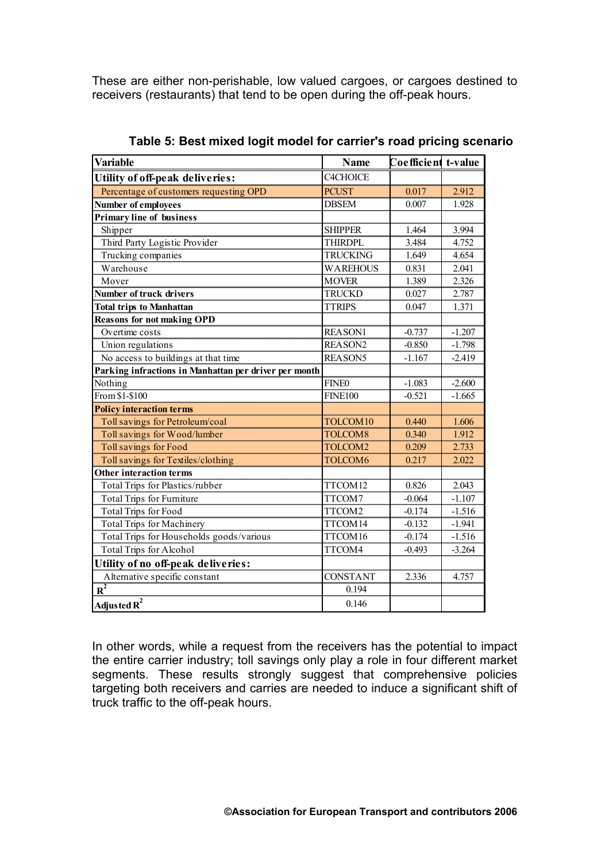These are either non-perishable, low valued cargoes, or cargoes destined to receivers (restaurants) that tend to be open during the off-peak hours.

| <b>Variable</b>                                       | <b>Name</b>     | Coefficient t-value |          |
|-------------------------------------------------------|-----------------|---------------------|----------|
| Utility of off-peak deliveries:                       | <b>C4CHOICE</b> |                     |          |
| Percentage of customers requesting OPD                | <b>PCUST</b>    | 0.017               | 2.912    |
| <b>Number of employees</b>                            | <b>DBSEM</b>    | 0.007               | 1.928    |
| <b>Primary line of business</b>                       |                 |                     |          |
| Shipper                                               | <b>SHIPPER</b>  | 1.464               | 3.994    |
| Third Party Logistic Provider                         | <b>THIRDPL</b>  | 3.484               | 4.752    |
| Trucking companies                                    | <b>TRUCKING</b> | 1.649               | 4.654    |
| Warehouse                                             | <b>WAREHOUS</b> | 0.831               | 2.041    |
| Mover                                                 | <b>MOVER</b>    | 1.389               | 2.326    |
| <b>Number of truck drivers</b>                        | <b>TRUCKD</b>   | 0.027               | 2.787    |
| <b>Total trips to Manhattan</b>                       | <b>TTRIPS</b>   | 0.047               | 1.371    |
| <b>Reasons for not making OPD</b>                     |                 |                     |          |
| Overtime costs                                        | <b>REASON1</b>  | $-0.737$            | $-1.207$ |
| Union regulations                                     | <b>REASON2</b>  | $-0.850$            | $-1.798$ |
| No access to buildings at that time                   | <b>REASON5</b>  | $-1.167$            | $-2.419$ |
| Parking infractions in Manhattan per driver per month |                 |                     |          |
| Nothing                                               | <b>FINE0</b>    | $-1.083$            | $-2.600$ |
| From \$1-\$100                                        | <b>FINE100</b>  | $-0.521$            | $-1.665$ |
| <b>Policy interaction terms</b>                       |                 |                     |          |
| Toll savings for Petroleum/coal                       | TOLCOM10        | 0.440               | 1.606    |
| Toll savings for Wood/lumber                          | TOLCOM8         | 0.340               | 1.912    |
| Toll savings for Food                                 | TOLCOM2         | 0.209               | 2.733    |
| Toll savings for Textiles/clothing                    | TOLCOM6         | 0.217               | 2.022    |
| <b>Other interaction terms</b>                        |                 |                     |          |
| Total Trips for Plastics/rubber                       | TTCOM12         | 0.826               | 2.043    |
| <b>Total Trips for Furniture</b>                      | TTCOM7          | $-0.064$            | $-1.107$ |
| <b>Total Trips for Food</b>                           | TTCOM2          | $-0.174$            | $-1.516$ |
| <b>Total Trips for Machinery</b>                      | TTCOM14         | $-0.132$            | $-1.941$ |
| Total Trips for Households goods/various              | TTCOM16         | $-0.174$            | $-1.516$ |
| <b>Total Trips for Alcohol</b>                        | TTCOM4          | $-0.493$            | $-3.264$ |
| Utility of no off-peak deliveries:                    |                 |                     |          |
| Alternative specific constant                         | <b>CONSTANT</b> | 2.336               | 4.757    |
| $\overline{\mathbf{R}^2}$                             | 0.194           |                     |          |
| Adjusted $R^2$                                        | 0.146           |                     |          |

<span id="page-12-0"></span>**Table 5: Best mixed logit model for carrier's road pricing scenario**

In other words, while a request from the receivers has the potential to impact the entire carrier industry; toll savings only play a role in four different market segments. These results strongly suggest that comprehensive policies targeting both receivers and carries are needed to induce a significant shift of truck traffic to the off-peak hours.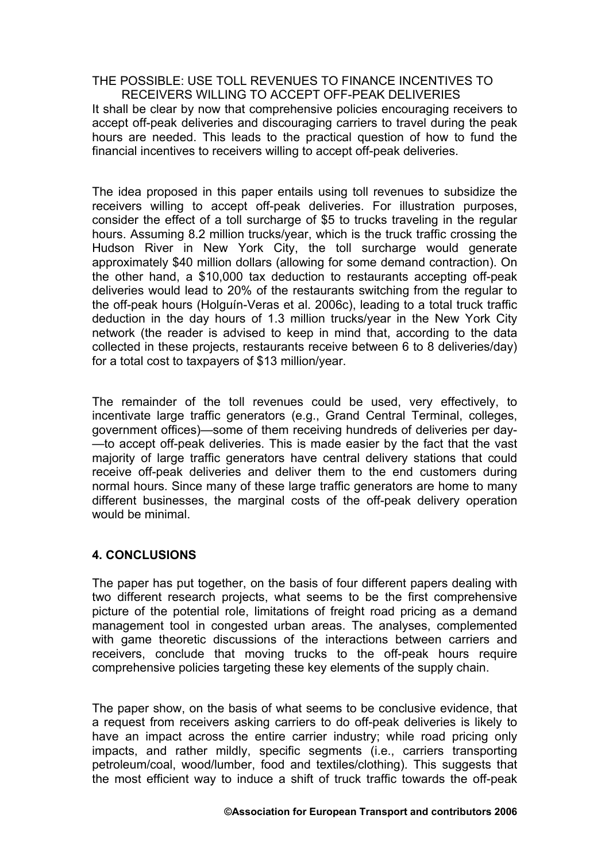THE POSSIBLE: USE TOLL REVENUES TO FINANCE INCENTIVES TO RECEIVERS WILLING TO ACCEPT OFF-PEAK DELIVERIES It shall be clear by now that comprehensive policies encouraging receivers to accept off-peak deliveries and discouraging carriers to travel during the peak hours are needed. This leads to the practical question of how to fund the financial incentives to receivers willing to accept off-peak deliveries.

The idea proposed in this paper entails using toll revenues to subsidize the receivers willing to accept off-peak deliveries. For illustration purposes, consider the effect of a toll surcharge of \$5 to trucks traveling in the regular hours. Assuming 8.2 million trucks/year, which is the truck traffic crossing the Hudson River in New York City, the toll surcharge would generate approximately \$40 million dollars (allowing for some demand contraction). On the other hand, a \$10,000 tax deduction to restaurants accepting off-peak deliveries would lead to 20% of the restaurants switching from the regular to the off-peak hours (Holguín-Veras et al. 2006c), leading to a total truck traffic deduction in the day hours of 1.3 million trucks/year in the New York City network (the reader is advised to keep in mind that, according to the data collected in these projects, restaurants receive between 6 to 8 deliveries/day) for a total cost to taxpayers of \$13 million/year.

The remainder of the toll revenues could be used, very effectively, to incentivate large traffic generators (e.g., Grand Central Terminal, colleges, government offices)—some of them receiving hundreds of deliveries per day- —to accept off-peak deliveries. This is made easier by the fact that the vast majority of large traffic generators have central delivery stations that could receive off-peak deliveries and deliver them to the end customers during normal hours. Since many of these large traffic generators are home to many different businesses, the marginal costs of the off-peak delivery operation would be minimal.

# **4. CONCLUSIONS**

The paper has put together, on the basis of four different papers dealing with two different research projects, what seems to be the first comprehensive picture of the potential role, limitations of freight road pricing as a demand management tool in congested urban areas. The analyses, complemented with game theoretic discussions of the interactions between carriers and receivers, conclude that moving trucks to the off-peak hours require comprehensive policies targeting these key elements of the supply chain.

The paper show, on the basis of what seems to be conclusive evidence, that a request from receivers asking carriers to do off-peak deliveries is likely to have an impact across the entire carrier industry; while road pricing only impacts, and rather mildly, specific segments (i.e., carriers transporting petroleum/coal, wood/lumber, food and textiles/clothing). This suggests that the most efficient way to induce a shift of truck traffic towards the off-peak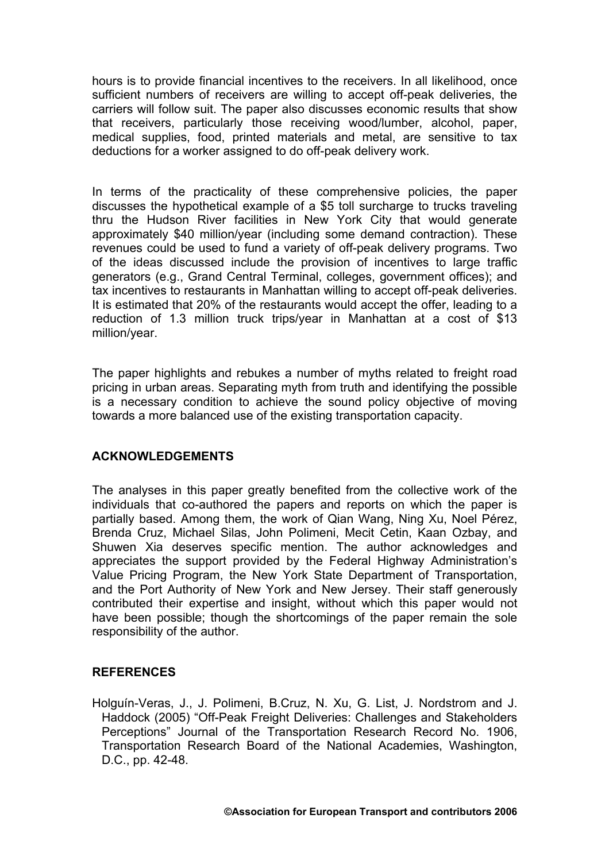hours is to provide financial incentives to the receivers. In all likelihood, once sufficient numbers of receivers are willing to accept off-peak deliveries, the carriers will follow suit. The paper also discusses economic results that show that receivers, particularly those receiving wood/lumber, alcohol, paper, medical supplies, food, printed materials and metal, are sensitive to tax deductions for a worker assigned to do off-peak delivery work.

In terms of the practicality of these comprehensive policies, the paper discusses the hypothetical example of a \$5 toll surcharge to trucks traveling thru the Hudson River facilities in New York City that would generate approximately \$40 million/year (including some demand contraction). These revenues could be used to fund a variety of off-peak delivery programs. Two of the ideas discussed include the provision of incentives to large traffic generators (e.g., Grand Central Terminal, colleges, government offices); and tax incentives to restaurants in Manhattan willing to accept off-peak deliveries. It is estimated that 20% of the restaurants would accept the offer, leading to a reduction of 1.3 million truck trips/year in Manhattan at a cost of \$13 million/year.

The paper highlights and rebukes a number of myths related to freight road pricing in urban areas. Separating myth from truth and identifying the possible is a necessary condition to achieve the sound policy objective of moving towards a more balanced use of the existing transportation capacity.

### **ACKNOWLEDGEMENTS**

The analyses in this paper greatly benefited from the collective work of the individuals that co-authored the papers and reports on which the paper is partially based. Among them, the work of Qian Wang, Ning Xu, Noel Pérez, Brenda Cruz, Michael Silas, John Polimeni, Mecit Cetin, Kaan Ozbay, and Shuwen Xia deserves specific mention. The author acknowledges and appreciates the support provided by the Federal Highway Administration's Value Pricing Program, the New York State Department of Transportation, and the Port Authority of New York and New Jersey. Their staff generously contributed their expertise and insight, without which this paper would not have been possible; though the shortcomings of the paper remain the sole responsibility of the author.

### **REFERENCES**

Holguín-Veras, J., J. Polimeni, B.Cruz, N. Xu, G. List, J. Nordstrom and J. Haddock (2005) "Off-Peak Freight Deliveries: Challenges and Stakeholders Perceptions" Journal of the Transportation Research Record No. 1906, Transportation Research Board of the National Academies, Washington, D.C., pp. 42-48.